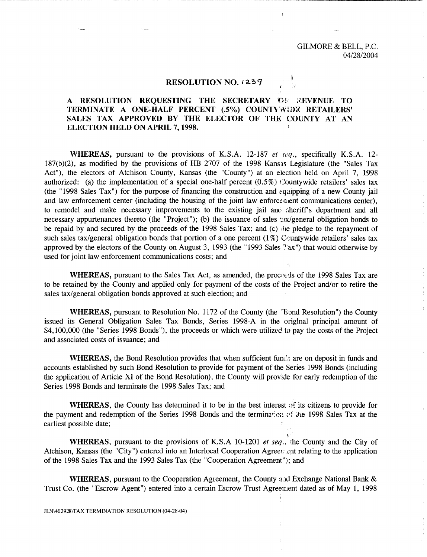GILMORE & BELL, P.C. 04/28/2004

## **RESOLUTION NO. I 2-5 9**

## A RESOLUTION REQUESTING THE SECRETARY OF **AEVENUE** TO **TERMINATE A ONE-HALF PERCENT (.5%) COUNTYWIDE RETAILERS' SALES TAX APPROVED BY THE ELECTOR OF THE COUNTY AT AN ELECTION HELD ON APRIL 7, 1998.**

**WHEREAS,** pursuant to the provisions of K.S.A. 12-187 *et veg.,* specifically K.S.A. 12- 187(b)(2), as modified by the provisions of HB 2707 of the 1998 Kans is Legislature (the "Sales Tax Act"), the electors of Atchison County, Kansas (the "County") at an election held on April 7, 1998 authorized: (a) the implementation of a special one-half percent  $(0.5\%)$  Countywide retailers' sales tax (the "1998 Sales Tax") for the purpose of financing the construction and *equipping* of a new County jail and law enforcement center (including the housing of the joint law enforcement communications center), to remodel and make necessary improvements to the existing jail and sheriff's department and all necessary appurtenances thereto (the "Project"); (b) the issuance of sales  $\frac{\text{ln}(x)}{g}$  peneral obligation bonds to be repaid by and secured by the proceeds of the 1998 Sales Tax; and (c) he pledge to the repayment of such sales tax/general obligation bonds that portion of a one percent (1%) Ccuntywide retailers' sales tax approved by the electors of the County on August 3, 1993 (the "1993 Sales Tax") that would otherwise by used for joint law enforcement communications costs; and

WHEREAS, pursuant to the Sales Tax Act, as amended, the proceeds of the 1998 Sales Tax are to be retained by the County and applied only for payment of the costs of the Project and/or to retire the sales tax/general obligation bonds approved at such election; and

**WHEREAS,** pursuant to Resolution No. 1172 of the County (the "Bond Resolution") the County issued its General Obligation Sales Tax Bonds, Series 1998-A in the original principal amount of \$4,100,000 (the "Series 1998 Bonds"), the proceeds or which were utilized to pay the costs of the Project and associated costs of issuance; and

**WHEREAS,** the Bond Resolution provides that when sufficient fum's are on deposit in funds and accounts established by such Bond Resolution to provide for payment of the Series 1998 Bonds (including the application of Article XI of the Bond Resolution), the County will provide for early redemption of the Series 1998 Bonds and terminate the 1998 Sales Tax; and

**WHEREAS, the County has determined it to be in the best interest of its citizens to provide for** the payment and redemption of the Series 1998 Bonds and the termination of the 1998 Sales Tax at the earliest possible date;

**WHEREAS, pursuant to** the provisions of K.S.A 10-1201 *et seq,,* the County and the City of Atchison, Kansas (the "City") entered into an Interlocal Cooperation Agreet *.ent* relating to the application of the 1998 Sales Tax and the 1993 Sales Tax (the "Cooperation Agreement"); and

WHEREAS, pursuant to the Cooperation Agreement, the County and Exchange National Bank & Trust Co. (the "Escrow Agent") entered into a certain Escrow Trust Agreement dated as of May 1, 1998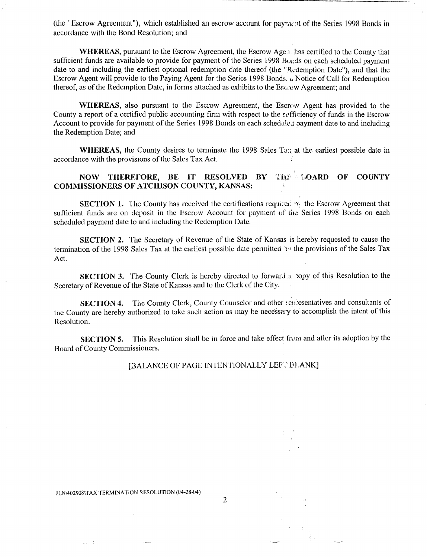(the "Escrow Agreement"), which established an escrow account for paylik'nt of the Series 1998 Bonds in accordance with the Bond Resolution; and

WHEREAS, pursuant to the Escrow Agreement, the Escrow Age<sub>(1</sub>, has certified to the County that sufficient funds are available to provide for payment of the Series 1998 Boi;ds on each scheduled payment date to and including the earliest optional redemption date thereof (the 'Redemption Date"), and that the Escrow Agent will provide to the Paying Agent for the Series 1998 Bonds,  $\alpha$  Notice of Call for Redemption thereof, as of the Redemption Date, in forms attached as exhibits to the Escrow Agreement; and

WHEREAS, also pursuant to the Escrow Agreement, the Escrow Agent has provided to the County a report of a certified public accounting firm with respect to the rofficiency of funds in the Escrow Account to provide for payment of the Series 1998 Bonds on each schedule: ... payment date to and including the Redemption Date; and

WHEREAS, the County desires to terminate the 1998 Sales Tax at the earliest possible date in accordance with the provisions of the Sales Tax Act.

## NOW THEREFORE, BE IT RESOLVED BY THE LOARD OF COUNTY COMMISSIONERS OF ATCIIISON COUNTY, KANSAS:

**SECTION 1.** The County has received the certifications required by the Escrow Agreement that sufficient funds are on deposit in the Escrow Account for payment of the Series 1998 Bonds on each scheduled payment date to and including the Redemption Date.

SECTION 2. The Secretary of Revenue of the State of Kansas is hereby requested to cause the termination of the 1998 Sales Tax at the earliest possible date permitted *y* the provisions of the Sales Tax Act.

**SECTION 3.** The County Clerk is hereby directed to forward a copy of this Resolution to the Secretary of Revenue of the State of Kansas and to the Clerk of the City.

SECTION 4. The County Clerk, County Counselor and other tenderes and consultants of the County are hereby authorized to take such action as may be necessary to accomplish the intent of this Resolution.

SECTION 5. This Resolution shall be in force and take effect from and after its adoption by the Board of County Commissioners.

[BALANCE OF PAGE INTENTIONALLY LEF, PLANK]

2

JLN \402928 \TAX TERMINATION RESOLUTION (04-28-04)